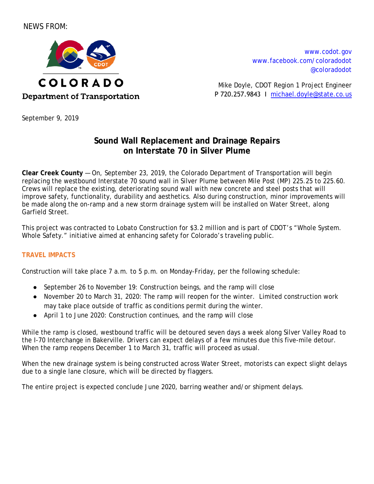# NEWS FROM:



[www.codot.gov](http://www.coloradodot.info/) [www.facebook.com/coloradodot](http://www.facebook.com/coloradodot) [@coloradodot](https://twitter.com/ColoradoDOT)

Mike Doyle, CDOT Region 1 Project Engineer P 720.257.9843 Ι [michael.doyle@state.co.us](mailto:michael.doyle@state.co.us)

September 9, 2019

# **Sound Wall Replacement and Drainage Repairs on Interstate 70 in Silver Plume**

**Clear Creek County** — On, September 23, 2019, the Colorado Department of Transportation will begin replacing the westbound Interstate 70 sound wall in Silver Plume between Mile Post (MP) 225.25 to 225.60. Crews will replace the existing, deteriorating sound wall with new concrete and steel posts that will improve safety, functionality, durability and aesthetics. Also during construction, minor improvements will be made along the on-ramp and a new storm drainage system will be installed on Water Street, along Garfield Street.

This project was contracted to Lobato Construction for \$3.2 million and is part of CDOT's "Whole System. Whole Safety." initiative aimed at enhancing safety for Colorado's traveling public.

# **TRAVEL IMPACTS**

Construction will take place 7 a.m. to 5 p.m. on Monday-Friday, per the following schedule:

- September 26 to November 19: Construction beings, and the ramp will close
- November 20 to March 31, 2020: The ramp will reopen for the winter. Limited construction work may take place outside of traffic as conditions permit during the winter.
- April 1 to June 2020: Construction continues, and the ramp will close

While the ramp is closed, westbound traffic will be detoured seven days a week along Silver Valley Road to the I-70 Interchange in Bakerville. Drivers can expect delays of a few minutes due this five-mile detour. When the ramp reopens December 1 to March 31, traffic will proceed as usual.

When the new drainage system is being constructed across Water Street, motorists can expect slight delays due to a single lane closure, which will be directed by flaggers.

The entire project is expected conclude June 2020, barring weather and/or shipment delays.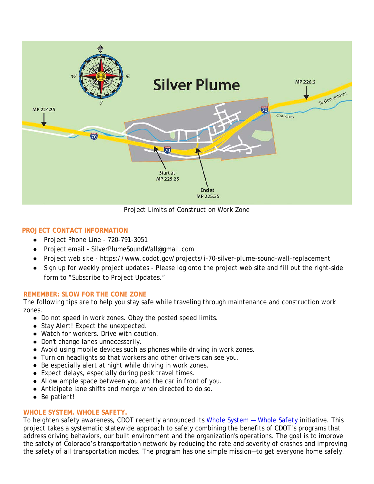

*Project Limits of Construction Work Zone*

## **PROJECT CONTACT INFORMATION**

- Project Phone Line 720-791-3051
- Project email SilverPlumeSoundWall@gmail.com
- Project web site https://www.codot.gov/projects/i-70-silver-plume-sound-wall-replacement
- Sign up for weekly project updates Please log onto the project web site and fill out the right-side form to "Subscribe to Project Updates."

### **REMEMBER: SLOW FOR THE CONE ZONE**

The following tips are to help you stay safe while traveling through maintenance and construction work zones.

- Do not speed in work zones. Obey the posted speed limits.
- Stay Alert! Expect the unexpected.
- Watch for workers. Drive with caution.
- Don't change lanes unnecessarily.
- Avoid using mobile devices such as phones while driving in work zones.
- Turn on headlights so that workers and other drivers can see you.
- Be especially alert at night while driving in work zones.
- Expect delays, especially during peak travel times.
- [Allow ample space](http://www.dot.ca.gov/hq/maint/workzone/Redzone.pdf) between you and the car in front of you.
- Anticipate lane shifts and merge when directed to do so.
- Be patient!

### **WHOLE SYSTEM. WHOLE SAFETY.**

To heighten safety awareness, CDOT recently announced its *[Whole System —](https://www.codot.gov/safety) Whole Safety* initiative. This project takes a systematic statewide approach to safety combining the benefits of CDOT's programs that address driving behaviors, our built environment and the organization's operations. The goal is to improve the safety of Colorado's transportation network by reducing the rate and severity of crashes and improving the safety of all transportation modes. The program has one simple mission—to get everyone home safely.